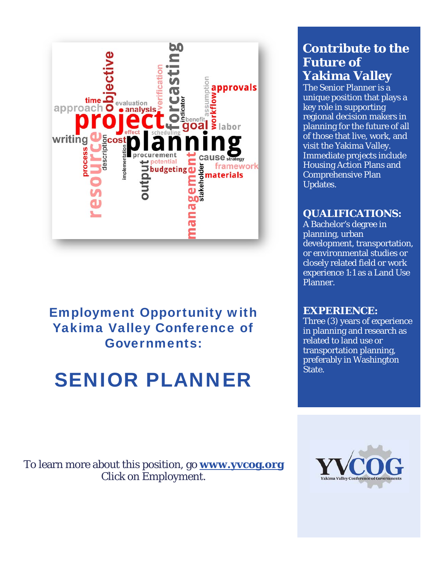

## Employment Opportunity with Yakima Valley Conference of Governments:

# SENIOR PLANNER

## **Contribute to the Future of Yakima Valley**

The Senior Planner is a unique position that plays a key role in supporting regional decision makers in planning for the future of all of those that live, work, and visit the Yakima Valley. Immediate projects include Housing Action Plans and Comprehensive Plan Updates.

#### **QUALIFICATIONS:**

A Bachelor's degree in planning, urban development, transportation, or environmental studies or closely related field or work experience 1:1 as a Land Use Planner.

#### **EXPERIENCE:**

Three (3) years of experience in planning and research as related to land use or transportation planning, preferably in Washington State.

To learn more about this position, go **www.yvcog.org** Click on Employment.

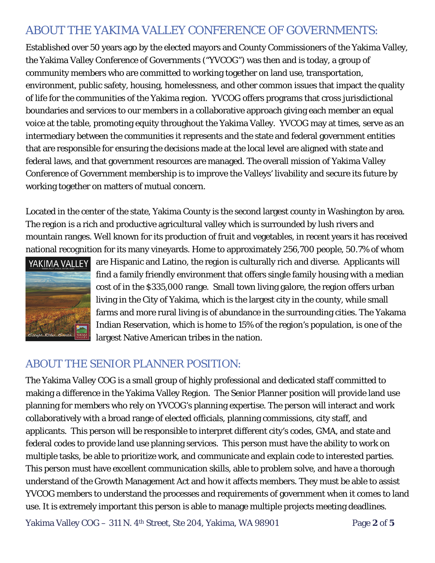## ABOUT THE YAKIMA VALLEY CONFERENCE OF GOVERNMENTS:

Established over 50 years ago by the elected mayors and County Commissioners of the Yakima Valley, the Yakima Valley Conference of Governments ("YVCOG") was then and is today, a group of community members who are committed to working together on land use, transportation, environment, public safety, housing, homelessness, and other common issues that impact the quality of life for the communities of the Yakima region. YVCOG offers programs that cross jurisdictional boundaries and services to our members in a collaborative approach giving each member an equal voice at the table, promoting equity throughout the Yakima Valley. YVCOG may at times, serve as an intermediary between the communities it represents and the state and federal government entities that are responsible for ensuring the decisions made at the local level are aligned with state and federal laws, and that government resources are managed. The overall mission of Yakima Valley Conference of Government membership is to improve the Valleys' livability and secure its future by working together on matters of mutual concern.

Located in the center of the state, Yakima County is the second largest county in Washington by area. The region is a rich and productive agricultural valley which is surrounded by lush rivers and mountain ranges. Well known for its production of fruit and vegetables, in recent years it has received national recognition for its many vineyards. Home to approximately 256,700 people, 50.7% of whom



YAKIMA VALLEY are Hispanic and Latino, the region is culturally rich and diverse. Applicants will find a family friendly environment that offers single family housing with a median cost of in the \$335,000 range. Small town living galore, the region offers urban living in the City of Yakima, which is the largest city in the county, while small farms and more rural living is of abundance in the surrounding cities. The Yakama Indian Reservation, which is home to 15% of the region's population, is one of the largest Native American tribes in the nation.

## ABOUT THE SENIOR PLANNER POSITION:

The Yakima Valley COG is a small group of highly professional and dedicated staff committed to making a difference in the Yakima Valley Region. The Senior Planner position will provide land use planning for members who rely on YVCOG's planning expertise. The person will interact and work collaboratively with a broad range of elected officials, planning commissions, city staff, and applicants. This person will be responsible to interpret different city's codes, GMA, and state and federal codes to provide land use planning services. This person must have the ability to work on multiple tasks, be able to prioritize work, and communicate and explain code to interested parties. This person must have excellent communication skills, able to problem solve, and have a thorough understand of the Growth Management Act and how it affects members. They must be able to assist YVCOG members to understand the processes and requirements of government when it comes to land use. It is extremely important this person is able to manage multiple projects meeting deadlines.

Yakima Valley COG – 311 N. 4th Street, Ste 204, Yakima, WA 98901 Page **2** of **5**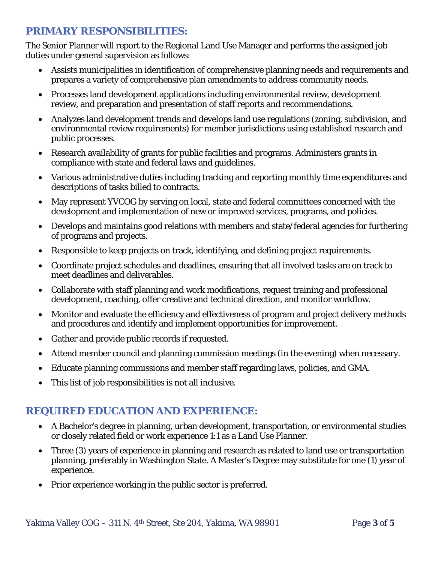#### **PRIMARY RESPONSIBILITIES:**

The Senior Planner will report to the Regional Land Use Manager and performs the assigned job duties under general supervision as follows:

- Assists municipalities in identification of comprehensive planning needs and requirements and prepares a variety of comprehensive plan amendments to address community needs.
- Processes land development applications including environmental review, development review, and preparation and presentation of staff reports and recommendations.
- Analyzes land development trends and develops land use regulations (zoning, subdivision, and environmental review requirements) for member jurisdictions using established research and public processes.
- Research availability of grants for public facilities and programs. Administers grants in compliance with state and federal laws and guidelines.
- Various administrative duties including tracking and reporting monthly time expenditures and descriptions of tasks billed to contracts.
- May represent YVCOG by serving on local, state and federal committees concerned with the development and implementation of new or improved services, programs, and policies.
- Develops and maintains good relations with members and state/federal agencies for furthering of programs and projects.
- Responsible to keep projects on track, identifying, and defining project requirements.
- Coordinate project schedules and deadlines, ensuring that all involved tasks are on track to meet deadlines and deliverables.
- Collaborate with staff planning and work modifications, request training and professional development, coaching, offer creative and technical direction, and monitor workflow.
- Monitor and evaluate the efficiency and effectiveness of program and project delivery methods and procedures and identify and implement opportunities for improvement.
- Gather and provide public records if requested.
- Attend member council and planning commission meetings (in the evening) when necessary.
- Educate planning commissions and member staff regarding laws, policies, and GMA.
- This list of job responsibilities is not all inclusive.

### **REQUIRED EDUCATION AND EXPERIENCE:**

- A Bachelor's degree in planning, urban development, transportation, or environmental studies or closely related field or work experience 1:1 as a Land Use Planner.
- Three (3) years of experience in planning and research as related to land use or transportation planning, preferably in Washington State. A Master's Degree may substitute for one (1) year of experience.
- Prior experience working in the public sector is preferred.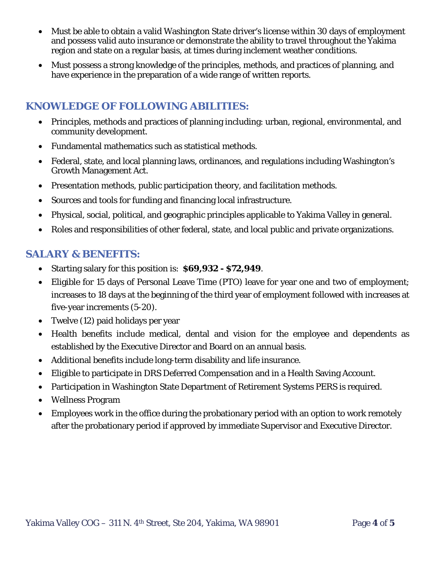- Must be able to obtain a valid Washington State driver's license within 30 days of employment and possess valid auto insurance or demonstrate the ability to travel throughout the Yakima region and state on a regular basis, at times during inclement weather conditions.
- Must possess a strong knowledge of the principles, methods, and practices of planning, and have experience in the preparation of a wide range of written reports.

#### **KNOWLEDGE OF FOLLOWING ABILITIES:**

- Principles, methods and practices of planning including: urban, regional, environmental, and community development.
- Fundamental mathematics such as statistical methods.
- Federal, state, and local planning laws, ordinances, and regulations including Washington's Growth Management Act.
- Presentation methods, public participation theory, and facilitation methods.
- Sources and tools for funding and financing local infrastructure.
- Physical, social, political, and geographic principles applicable to Yakima Valley in general.
- Roles and responsibilities of other federal, state, and local public and private organizations.

#### **SALARY & BENEFITS:**

- Starting salary for this position is: **\$69,932 \$72,949**.
- Eligible for 15 days of Personal Leave Time (PTO) leave for year one and two of employment; increases to 18 days at the beginning of the third year of employment followed with increases at five-year increments (5-20).
- Twelve (12) paid holidays per year
- Health benefits include medical, dental and vision for the employee and dependents as established by the Executive Director and Board on an annual basis.
- Additional benefits include long-term disability and life insurance.
- Eligible to participate in DRS Deferred Compensation and in a Health Saving Account.
- Participation in Washington State Department of Retirement Systems PERS is required.
- Wellness Program
- Employees work in the office during the probationary period with an option to work remotely after the probationary period if approved by immediate Supervisor and Executive Director.